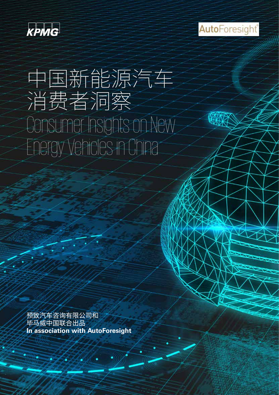

**Auto**Foresight®

### 中国新能源汽车 消费者洞察 Consumer Insights on New Energy Vehicles in China

预致汽车咨询有限公司和 毕马威中国联合出品 **In association with AutoForesight**

**Contract of State Contract of the Contract of State Contract of The Contract of The Contract of The Contract of The Contract of The Contract of The Contract of The Contract of The Contract of The Contract of The Contract** 

reserved.

© 2017 KPMG Advisory (China) Limited, a wholly foreign owned enterprise in China and a member firm of the KPMG network of independent member firms affiliated with KPMG International Cooperative ("KPMG International"), a Swiss entity. All rights

AutoForesignt is separate and distinct from KPMG International Cooperation ("KPMG International") and its member firms. The international  $\mathcal{F}$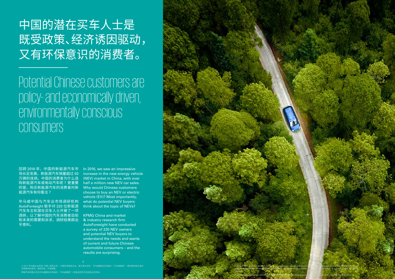### 中国的潜在买车人士是 既受政策、经济诱因驱动, 又有环保意识的消费者。

Potential Chinese customers are policy- and economically driven, environmentally conscious consumers

回顾 2016 年,中国的新能源汽车市 场长足发展,新能源汽车销量超过 50 万辆的佳绩。中国的消费者为什么选 购新能源汽车或电动汽车呢 ? 更重要 的是,购买新能源汽车的消费者对新 能源汽车有何看法 ?

毕马威中国与汽车业市场调研机构 AutoForesight 联手对 220 位新能源 汽车车主和潜在买车人士开展了一项 调研,以了解中国的汽车消费者目前 和未来的需要和诉求,调研结果颇出 乎意料。



In 2016, we saw an impressive increase in the new energy vehicle (NEV) market in China, with over half a million new NEV car sales. Why would Chinese customers choose to buy an NEV or electric vehicle (EV)? Most importantly, what do potential NEV buyers think about the topic of NEVs?

© 2017 毕马威企业咨询 ( 中国 ) 有限公司 — 中国外商独资企业,是与瑞士实体 — 毕马威国际合作组织 ("毕马威国际") 相关联的独立成员 © 2017 毕马威企业咨询 ( 中国 ) 有限公司 — 中国外商独资企业,是与瑞士实体 — 毕马威国际合作组织 ("毕马威国际") 相关联的独立成员 所网络中的成员。版权所有,不得转载。

预致汽车有限公司与毕马威国际合作组织 ("毕马威国际") 和各成员所为各自独立的实体。 预致汽车有限公司与毕马威国际合作组织 ("毕马威国际") 和各成员所为各自独立的实体。

KPMG China and market & industry research firm AutoForesight have conducted a survey of 220 NEV owners and potential NEV buyers to understand the needs and wants of current and future Chinese automobile consumers – and the results are surprising.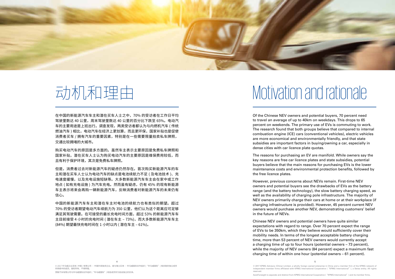**4 5**

© 2017 KPMG Advisory (China) Limited, a wholly foreign owned enterprise in China and a member firm of the KPMG network of independent member firms affiliated with KPMG International Cooperative ("KPMG International"), a Swiss entity. All rights

### 动机和理由 Motivation and rationale



在中国的新能源汽车车主和潜在买车人士之中,70% 的受访者在工作日平均 驾驶里数达 40 公里,周末驾驶里数达 40 公里的百分比下跌至 65%。电动汽 车的主要用途是上班出行。调查发现,两类受访者都认为与内燃机汽车 ( 传统 燃油汽车 ) 相比,电动汽车在经济上更划算,而且更环保,国家补贴也是促使 消费者买车 / 拥有汽车的重要因素,特别是在一些需要限量拍卖私车牌照, 交通比较拥堵的大城市。

购买电动汽车的原因是多方面的。虽然车主表示主要原因是免费私车牌照和 国家补贴,潜在买车人士认为购买电动汽车的主要原因是维保费用较低,而 且有利于保护环境,其次是免费私车牌照。

但是,消费者过去对新能源汽车的疑虑仍然存在。首次购买新能源汽车的车 主和潜在买车人士认为电动汽车的缺点是电池续航力不足 ( 及电池技术 )、充 电速度缓慢,以及充电设施短缺等。大多数新能源汽车车主会在家中或工作 地点 ( 如有充电设施 ) 为汽车充电。然而虽有疑虑,仍有 45% 的现有新能源 车主表示将来会再购一辆新能源汽车,反映消费者对新能源汽车的未来仍有 信心。

中国的新能源汽车车主和潜在车主对电池的续航力也有类似的期望。超过 70% 的受访者期望电动汽车续航力为 350 公里,他们认为这个距离应可足够 满足其驾驶需要。在可接受的最长充电时间方面,超过 53% 的新能源汽车车 主目前接受 4 小时的充电时间 ( 潜在车主 – 73%),而大多数新能源汽车车主 (84%) 期望最快充电时间在 1 小时以内 ( 潜在车主 – 61%)。

Of the Chinese NEV owners and potential buyers, 70 percent need to travel an average of up to 40km on weekdays. This drops to 65 percent on weekends. The primary use of EVs is commuting to work. The research found that both groups believe that compared to internal combustion engine (ICE) cars (conventional vehicles), electric vehicles are more economical and environmentally friendly, and that state subsidies are important factors in buying/owning a car, especially in dense cities with car licence plate quotas.

The reasons for purchasing an EV are manifold. While owners say the key reasons are free car licence plates and state subsidies, potential buyers believe that the main reasons for purchasing EVs is the lower maintenance costs and environmental protection benefits, followed by the free licence plates.

However, previous concerns about NEVs remain. First-time NEV owners and potential buyers see the drawbacks of EVs as the battery range (and the battery technology), the slow battery charging speed, as well as the availability of charging pole infrastructure. The majority of NEV owners primarily charge their cars at home or at their workplace (if charging infrastructure is provided). However, 45 percent current NEV owners would purchase another NEV, demonstrating customers' belief in the future of NEVs.

Chinese NEV owners and potential owners have quite similar expectations with regard to range. Over 70 percent expect the range of EVs to be 350km, which they believe would sufficiently cover their mobility needs. In terms of the longest acceptable battery charging time, more than 53 percent of NEV owners would currently accept a charging time of up to four hours (potential owners – 73 percent), while the majority of NEV owners (84 percent) expect a maximum fast charging time of within one hour (potential owners – 61 percent).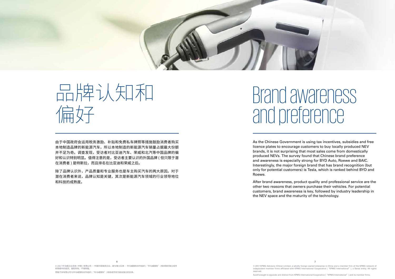

**6 7**

© 2017 KPMG Advisory (China) Limited, a wholly foreign owned enterprise in China and a member firm of the KPMG network of independent member firms affiliated with KPMG International Cooperative ("KPMG International"), a Swiss entity. All rights

## Brand awareness and preference

由于中国政府会运用税务激励、补贴和免费私车牌照等措施鼓励消费者购买 本地制造品牌的新能源汽车,所以本地制造的新能源汽车销量占据最大份额 并不足为奇。调查发现,受访者对比亚迪汽车、荣威和北汽等中国品牌的偏 好和认识特别明显。值得注意的是,受访者主要认识的外国品牌 ( 但只限于潜 在消费者 ) 是特斯拉,而且排名在比亚迪和荣威之后。

除了品牌认识外,产品质量和专业服务也是车主购买汽车的两大原因。对于 潜在消费者来说,品牌认知是关键,其次是新能源汽车领域的行业领导地位 和科技的成熟度。

## 品牌认知和 偏好

As the Chinese Government is using tax incentives, subsidies and free licence plates to encourage customers to buy locally produced NEV brands, it is not surprising that most sales come from domestically produced NEVs. The survey found that Chinese brand preference and awareness is especially strong for BYD Auto, Roewe and BAIC. Interestingly, the major foreign brand that has brand recognition (but only for potential customers) is Tesla, which is ranked behind BYD and Roewe.

After brand awareness, product quality and professional service are the other two reasons that owners purchase their vehicles. For potential customers, brand awareness is key, followed by industry leadership in the NEV space and the maturity of the technology.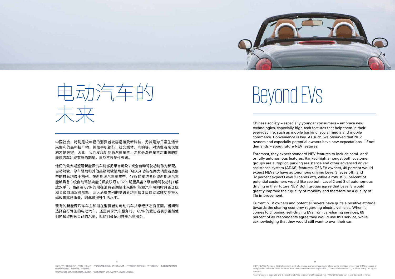© 2017 KPMG Advisory (China) Limited, a wholly foreign owned enterprise in China and a member firm of the KPMG network of independent member firms affiliated with KPMG International Cooperative ("KPMG International"), a Swiss entity. All rights

# Beyond EVs

中国社会,特别是较年轻的消费者较容易接受新科技,尤其是为日常生活带 来便利的高科技产物,例如手机银行、社交媒体、网购等。对消费者来说便 利才是关键。因此,我们发现新能源汽车车主,尤其是潜在车主对未来的新 能源汽车功能有新的期望,虽然不是硬性要求。

他们的最大期望是新能源汽车能够把半自动及 / 或全自动驾驶功能作为标配。 自动驾驶、停车辅助和其他高级驾驶辅助系统 (ADAS) 功能在两大消费者类别 中的排名均位于前列。在新能源汽车车主中,49% 的受访者期望新能源汽车 能够具备 3 级自动驾驶功能 (解放双眼), 32% 期望具备 2 级自动驾驶功能 (解 放双手 ),而高达 68% 的潜在消费者期望未来的新能源汽车可同时具备 2 级 和 3 级自动驾驶功能。两大消费类别的受访者均同意 3 级自动驾驶功能将大 幅改善驾驶质量,因此可提升生活水平。

现有的新能源汽车车主和潜在消费者对电动汽车共享经济态度正面。当问到 选择自行驾驶的电动汽车,还是共享汽车服务时, 65% 的受访者表示虽然他 们仍希望拥有自己的汽车,但他们会使用共享汽车服务。

Chinese society – especially younger consumers – embrace new technologies, especially high-tech features that help them in their everyday life, such as mobile banking, social media and mobile commerce. Convenience is key. As such, we observed that NEV owners and especially potential owners have new expectations – if not demands – about future NEV features.

Foremost, they expect standard NEV features to include semi- and/ or fully autonomous features. Ranked high amongst both customer groups are autopilot, parking assistance and other advanced driver assistance system (ADAS) features. Of NEV owners, 49 percent would expect NEVs to have autonomous driving Level 3 (eyes off), and 32 percent expect Level 2 (hands off), while a robust 68 percent of potential customers would like see both Level 2 and 3 of autonomous driving in their future NEV. Both groups agree that Level 3 would greatly improve their quality of mobility and therefore be a quality of life improvement.

Current NEV owners and potential buyers have quite a positive attitude towards the sharing economy regarding electric vehicles. When it comes to choosing self-driving EVs from car-sharing services, 65 percent of all respondents agree they would use this service, while acknowledging that they would still want to own their car.



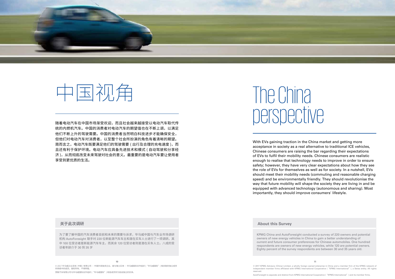© 2017 KPMG Advisory (China) Limited, a wholly foreign owned enterprise in China and a member firm of the KPMG network of independent member firms affiliated with KPMG International Cooperative ("KPMG International"), a Swiss entity. All rights reserved.

**10 11** © 2017 毕马威企业咨询 ( 中国 ) 有限公司 — 中国外商独资企业,是与瑞士实体 — 毕马威国际合作组织 ( "毕马威国际" ) 相关联的独立成员 所网络中的成员。版权所有,不得转载。 预致汽车有限公司与毕马威国际合作组织 ("毕马威国际") 和各成员所为各自独立的实体。

### The China 随着电动汽车在中国市场渐受欢迎,而且社会越来越接受以电动汽车取代传 perspective

统的内燃机汽车。中国的消费者对电动汽车的期望值也在不断上调,以满足 他们不断上升的驾驶需要。中国的消费者当然明白科技进步才能确保安全, 但他们对电动汽车对消费者,以至整个社会所扮演的角色有着清晰的期望。 简而言之, 电动汽车既要满足他们的驾驶需要 ( 出行及合理的充电速度 ), 而 且还有利于保护环境。电动汽车应具备先进技术和模式 ( 自动驾驶和分享经 济 ),从而彻底改变未来驾驶对社会的意义。最重要的是电动汽车要让使用者 享受到更优质的生活。





With EVs gaining traction in the China market and getting more acceptance in society as a real alternative to traditional ICE vehicles, Chinese consumers are raising the bar regarding their expectations of EVs to fulfil their mobility needs. Chinese consumers are realistic enough to realise that technology needs to improve in order to ensure safety; however, they have very clear expectations about how they see the role of EVs for themselves as well as for society. In a nutshell, EVs should meet their mobility needs (commuting and reasonable charging speed) and be environmentally friendly. They should revolutionise the way that future mobility will shape the society they are living in and be equipped with advanced technology (autonomous and sharing). Most importantly, they should improve consumers' lifestyle.

### **About this Survey**

KPMG China and AutoForesight conducted a survey of 220 owners and potential owners of new energy vehicles in China to gain a better understanding of current and future consumer preferences for Chinese automobiles. One hundred respondents are owners of new energy vehicles, while 120 are potential owners. Eighty percent of the survey respondents are between 30 and 35 years old.

### **关于此次调研**

为了要了解中国的汽车消费者目前和未来的需要与诉求,毕马威中国与汽车业市场调研 机构 AutoForesight 联手对 220 位新能源汽车车主和潜在买车人士进行了一项调研。其 中 100 位受访者是新能源汽车车主,而其余 120 位受访者则是潜在买车人士。八成的受 访者年龄介于 30 到 35 岁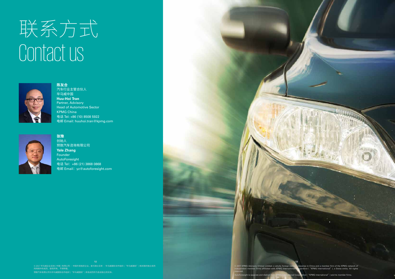# 联系方式 Contact us



**陈友合** 汽车行业主管合伙人 毕马威中国 **Huu-Hoi Tran** Partner, Advisory Head of Automotive Sector KPMG China 电话 Tel: +86 (10) 8508 5922 电邮 Email: huuhoi.tran@kpmg.com



**张豫**  创始人 预致汽车咨询有限公司 **Yale Zhang**  Founder AutoForesight 电话 Tel: +86 (21) 3868 0868 电邮 Email:yz@autoforesight.com



© 2017 毕马威企业咨询 ( 中国 ) 有限公司 一 中国外商独资企业,是与瑞士实体 一 毕马威国际合作组织 ( "毕马威国际" ) 相关联的独立成员 所网络中的成员。版权所有,不得转载。 预致汽车有限公司与毕马威国际合作组织 ("毕马威国际") 和各成员所为各自独立的实体。

.<br>17 KPMG Advisory (China) Limited, a wholly foreign owned enterprise in China and a member firm of the KPMG network of<br>eendent member firms affiliated with KPMG International Copperative ("KPMG International"), a Swiss en rative ( "KPMG International" ), a Swiss entity. All rights